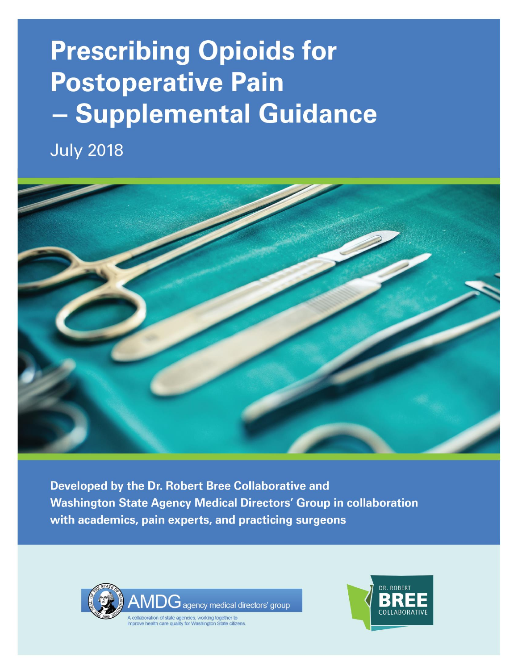# **Prescribing Opioids for Postoperative Pain** - Supplemental Guidance

**July 2018** 



Developed by the Dr. Robert Bree Collaborative and **Washington State Agency Medical Directors' Group in collaboration** with academics, pain experts, and practicing surgeons



Jagency medical directors' group

A collaboration of state agencies, working together to<br>improve health care quality for Washington State citize

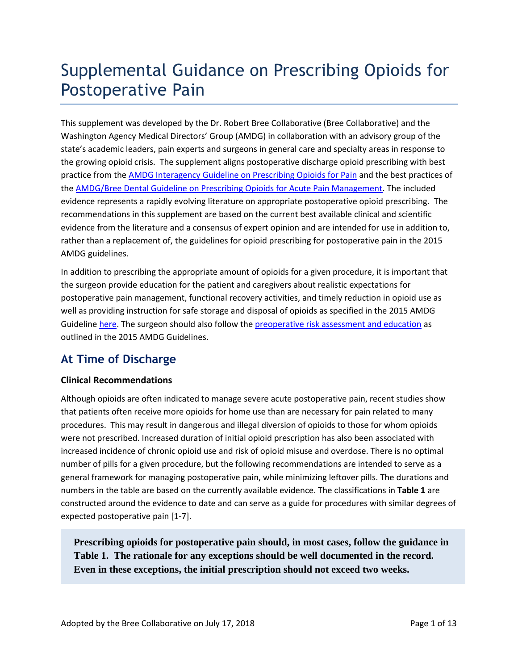# Supplemental Guidance on Prescribing Opioids for Postoperative Pain

This supplement was developed by the Dr. Robert Bree Collaborative (Bree Collaborative) and the Washington Agency Medical Directors' Group (AMDG) in collaboration with an advisory group of the state's academic leaders, pain experts and surgeons in general care and specialty areas in response to the growing opioid crisis. The supplement aligns postoperative discharge opioid prescribing with best practice from the [AMDG Interagency Guideline on Prescribing Opioids for Pain](http://www.agencymeddirectors.wa.gov/Files/2015AMDGOpioidGuideline.pdf) and the best practices of th[e AMDG/Bree Dental Guideline on Prescribing Opioids for Acute Pain Management.](http://www.agencymeddirectors.wa.gov/Files/20171026FINALDentalOpioidRecommendations_Web.pdf) The included evidence represents a rapidly evolving literature on appropriate postoperative opioid prescribing. The recommendations in this supplement are based on the current best available clinical and scientific evidence from the literature and a consensus of expert opinion and are intended for use in addition to, rather than a replacement of, the guidelines for opioid prescribing for postoperative pain in the 2015 AMDG guidelines.

In addition to prescribing the appropriate amount of opioids for a given procedure, it is important that the surgeon provide education for the patient and caregivers about realistic expectations for postoperative pain management, functional recovery activities, and timely reduction in opioid use as well as providing instruction for safe storage and disposal of opioids as specified in the 2015 AMDG Guideline [here.](http://www.agencymeddirectors.wa.gov/Files/2015AMDGOpioidGuideline.pdf#page=26) The surgeon should also follow th[e preoperative risk assessment and education](http://www.agencymeddirectors.wa.gov/Files/2015AMDGOpioidGuideline.pdf#page=26) as outlined in the 2015 AMDG Guidelines.

# **At Time of Discharge**

# **Clinical Recommendations**

Although opioids are often indicated to manage severe acute postoperative pain, recent studies show that patients often receive more opioids for home use than are necessary for pain related to many procedures. This may result in dangerous and illegal diversion of opioids to those for whom opioids were not prescribed. Increased duration of initial opioid prescription has also been associated with increased incidence of chronic opioid use and risk of opioid misuse and overdose. There is no optimal number of pills for a given procedure, but the following recommendations are intended to serve as a general framework for managing postoperative pain, while minimizing leftover pills. The durations and numbers in the table are based on the currently available evidence. The classifications in **Table 1** are constructed around the evidence to date and can serve as a guide for procedures with similar degrees of expected postoperative pain [1-7].

**Prescribing opioids for postoperative pain should, in most cases, follow the guidance in Table 1. The rationale for any exceptions should be well documented in the record. Even in these exceptions, the initial prescription should not exceed two weeks.**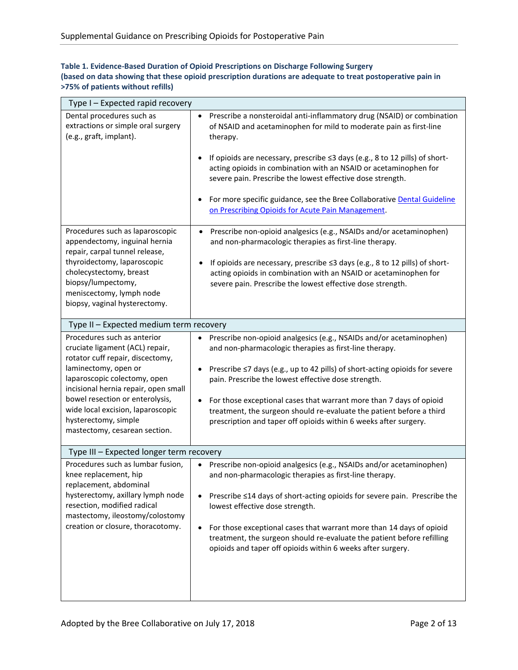| Table 1. Evidence-Based Duration of Opioid Prescriptions on Discharge Following Surgery                     |
|-------------------------------------------------------------------------------------------------------------|
| (based on data showing that these opioid prescription durations are adequate to treat postoperative pain in |
| >75% of patients without refills)                                                                           |

| Type I – Expected rapid recovery                                                                                                                                                                                                                                                                                                    |                                                                                                                                                                                                                                                                                                                                                                                                                                                                                                                       |
|-------------------------------------------------------------------------------------------------------------------------------------------------------------------------------------------------------------------------------------------------------------------------------------------------------------------------------------|-----------------------------------------------------------------------------------------------------------------------------------------------------------------------------------------------------------------------------------------------------------------------------------------------------------------------------------------------------------------------------------------------------------------------------------------------------------------------------------------------------------------------|
| Dental procedures such as<br>extractions or simple oral surgery<br>(e.g., graft, implant).                                                                                                                                                                                                                                          | Prescribe a nonsteroidal anti-inflammatory drug (NSAID) or combination<br>$\bullet$<br>of NSAID and acetaminophen for mild to moderate pain as first-line<br>therapy.                                                                                                                                                                                                                                                                                                                                                 |
|                                                                                                                                                                                                                                                                                                                                     | If opioids are necessary, prescribe ≤3 days (e.g., 8 to 12 pills) of short-<br>acting opioids in combination with an NSAID or acetaminophen for<br>severe pain. Prescribe the lowest effective dose strength.                                                                                                                                                                                                                                                                                                         |
|                                                                                                                                                                                                                                                                                                                                     | For more specific guidance, see the Bree Collaborative Dental Guideline<br>on Prescribing Opioids for Acute Pain Management.                                                                                                                                                                                                                                                                                                                                                                                          |
| Procedures such as laparoscopic<br>appendectomy, inguinal hernia<br>repair, carpal tunnel release,                                                                                                                                                                                                                                  | Prescribe non-opioid analgesics (e.g., NSAIDs and/or acetaminophen)<br>and non-pharmacologic therapies as first-line therapy.                                                                                                                                                                                                                                                                                                                                                                                         |
| thyroidectomy, laparoscopic<br>cholecystectomy, breast<br>biopsy/lumpectomy,<br>meniscectomy, lymph node<br>biopsy, vaginal hysterectomy.                                                                                                                                                                                           | If opioids are necessary, prescribe ≤3 days (e.g., 8 to 12 pills) of short-<br>acting opioids in combination with an NSAID or acetaminophen for<br>severe pain. Prescribe the lowest effective dose strength.                                                                                                                                                                                                                                                                                                         |
| Type II - Expected medium term recovery                                                                                                                                                                                                                                                                                             |                                                                                                                                                                                                                                                                                                                                                                                                                                                                                                                       |
| Procedures such as anterior<br>cruciate ligament (ACL) repair,<br>rotator cuff repair, discectomy,<br>laminectomy, open or<br>laparoscopic colectomy, open<br>incisional hernia repair, open small<br>bowel resection or enterolysis,<br>wide local excision, laparoscopic<br>hysterectomy, simple<br>mastectomy, cesarean section. | Prescribe non-opioid analgesics (e.g., NSAIDs and/or acetaminophen)<br>$\bullet$<br>and non-pharmacologic therapies as first-line therapy.<br>Prescribe ≤7 days (e.g., up to 42 pills) of short-acting opioids for severe<br>٠<br>pain. Prescribe the lowest effective dose strength.<br>For those exceptional cases that warrant more than 7 days of opioid<br>$\bullet$<br>treatment, the surgeon should re-evaluate the patient before a third<br>prescription and taper off opioids within 6 weeks after surgery. |
| Type III - Expected longer term recovery                                                                                                                                                                                                                                                                                            |                                                                                                                                                                                                                                                                                                                                                                                                                                                                                                                       |
| Procedures such as lumbar fusion,<br>knee replacement, hip<br>replacement, abdominal<br>hysterectomy, axillary lymph node<br>resection, modified radical<br>mastectomy, ileostomy/colostomy<br>creation or closure, thoracotomy.                                                                                                    | Prescribe non-opioid analgesics (e.g., NSAIDs and/or acetaminophen)<br>$\bullet$<br>and non-pharmacologic therapies as first-line therapy.<br>Prescribe ≤14 days of short-acting opioids for severe pain. Prescribe the<br>$\bullet$<br>lowest effective dose strength.<br>For those exceptional cases that warrant more than 14 days of opioid<br>$\bullet$<br>treatment, the surgeon should re-evaluate the patient before refilling<br>opioids and taper off opioids within 6 weeks after surgery.                 |
|                                                                                                                                                                                                                                                                                                                                     |                                                                                                                                                                                                                                                                                                                                                                                                                                                                                                                       |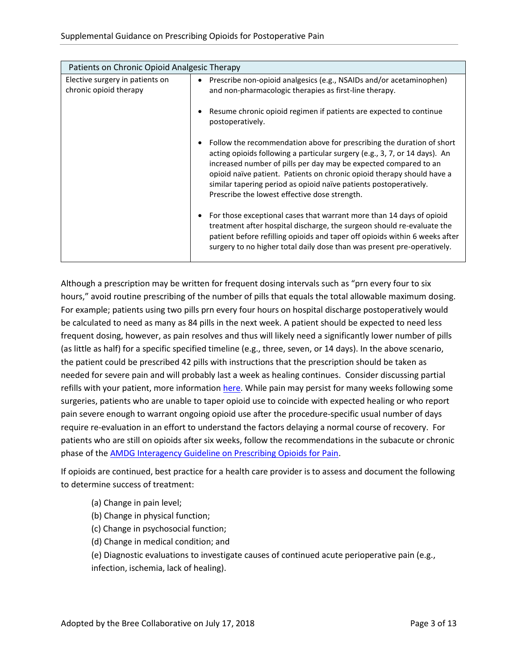| Patients on Chronic Opioid Analgesic Therapy              |                                                                                                                                                                                                                                                                                                                                                                                                                              |  |
|-----------------------------------------------------------|------------------------------------------------------------------------------------------------------------------------------------------------------------------------------------------------------------------------------------------------------------------------------------------------------------------------------------------------------------------------------------------------------------------------------|--|
| Elective surgery in patients on<br>chronic opioid therapy | Prescribe non-opioid analgesics (e.g., NSAIDs and/or acetaminophen)<br>٠<br>and non-pharmacologic therapies as first-line therapy.                                                                                                                                                                                                                                                                                           |  |
|                                                           | Resume chronic opioid regimen if patients are expected to continue<br>٠<br>postoperatively.                                                                                                                                                                                                                                                                                                                                  |  |
|                                                           | Follow the recommendation above for prescribing the duration of short<br>٠<br>acting opioids following a particular surgery (e.g., 3, 7, or 14 days). An<br>increased number of pills per day may be expected compared to an<br>opioid naïve patient. Patients on chronic opioid therapy should have a<br>similar tapering period as opioid naïve patients postoperatively.<br>Prescribe the lowest effective dose strength. |  |
|                                                           | For those exceptional cases that warrant more than 14 days of opioid<br>٠<br>treatment after hospital discharge, the surgeon should re-evaluate the<br>patient before refilling opioids and taper off opioids within 6 weeks after<br>surgery to no higher total daily dose than was present pre-operatively.                                                                                                                |  |

Although a prescription may be written for frequent dosing intervals such as "prn every four to six hours," avoid routine prescribing of the number of pills that equals the total allowable maximum dosing. For example; patients using two pills prn every four hours on hospital discharge postoperatively would be calculated to need as many as 84 pills in the next week. A patient should be expected to need less frequent dosing, however, as pain resolves and thus will likely need a significantly lower number of pills (as little as half) for a specific specified timeline (e.g., three, seven, or 14 days). In the above scenario, the patient could be prescribed 42 pills with instructions that the prescription should be taken as needed for severe pain and will probably last a week as healing continues. Consider discussing partial refills with your patient, more informatio[n here.](https://www.doh.wa.gov/Portals/1/Documents/2300/2017/PQAC-55-Partial-FillSchedDrug.pdf) While pain may persist for many weeks following some surgeries, patients who are unable to taper opioid use to coincide with expected healing or who report pain severe enough to warrant ongoing opioid use after the procedure-specific usual number of days require re-evaluation in an effort to understand the factors delaying a normal course of recovery. For patients who are still on opioids after six weeks, follow the recommendations in the subacute or chronic phase of the [AMDG Interagency Guideline on Prescribing Opioids for Pain.](http://www.agencymeddirectors.wa.gov/Files/2015AMDGOpioidGuideline.pdf)

If opioids are continued, best practice for a health care provider is to assess and document the following to determine success of treatment:

- (a) Change in pain level;
- (b) Change in physical function;
- (c) Change in psychosocial function;
- (d) Change in medical condition; and
- (e) Diagnostic evaluations to investigate causes of continued acute perioperative pain (e.g., infection, ischemia, lack of healing).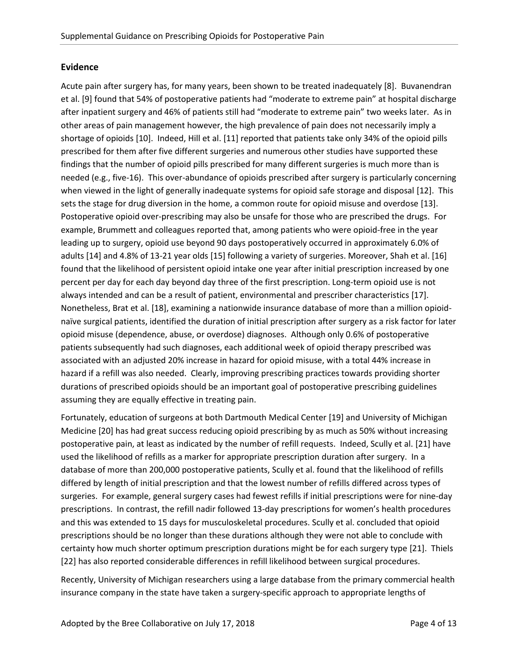### **Evidence**

Acute pain after surgery has, for many years, been shown to be treated inadequately [8]. Buvanendran et al. [9] found that 54% of postoperative patients had "moderate to extreme pain" at hospital discharge after inpatient surgery and 46% of patients still had "moderate to extreme pain" two weeks later. As in other areas of pain management however, the high prevalence of pain does not necessarily imply a shortage of opioids [10]. Indeed, Hill et al. [11] reported that patients take only 34% of the opioid pills prescribed for them after five different surgeries and numerous other studies have supported these findings that the number of opioid pills prescribed for many different surgeries is much more than is needed (e.g., five-16). This over-abundance of opioids prescribed after surgery is particularly concerning when viewed in the light of generally inadequate systems for opioid safe storage and disposal [12]. This sets the stage for drug diversion in the home, a common route for opioid misuse and overdose [13]. Postoperative opioid over-prescribing may also be unsafe for those who are prescribed the drugs. For example, Brummett and colleagues reported that, among patients who were opioid-free in the year leading up to surgery, opioid use beyond 90 days postoperatively occurred in approximately 6.0% of adults [14] and 4.8% of 13-21 year olds [15] following a variety of surgeries. Moreover, Shah et al. [16] found that the likelihood of persistent opioid intake one year after initial prescription increased by one percent per day for each day beyond day three of the first prescription. Long-term opioid use is not always intended and can be a result of patient, environmental and prescriber characteristics [17]. Nonetheless, Brat et al. [18], examining a nationwide insurance database of more than a million opioidnaïve surgical patients, identified the duration of initial prescription after surgery as a risk factor for later opioid misuse (dependence, abuse, or overdose) diagnoses. Although only 0.6% of postoperative patients subsequently had such diagnoses, each additional week of opioid therapy prescribed was associated with an adjusted 20% increase in hazard for opioid misuse, with a total 44% increase in hazard if a refill was also needed. Clearly, improving prescribing practices towards providing shorter durations of prescribed opioids should be an important goal of postoperative prescribing guidelines assuming they are equally effective in treating pain.

Fortunately, education of surgeons at both Dartmouth Medical Center [19] and University of Michigan Medicine [20] has had great success reducing opioid prescribing by as much as 50% without increasing postoperative pain, at least as indicated by the number of refill requests. Indeed, Scully et al. [21] have used the likelihood of refills as a marker for appropriate prescription duration after surgery. In a database of more than 200,000 postoperative patients, Scully et al. found that the likelihood of refills differed by length of initial prescription and that the lowest number of refills differed across types of surgeries. For example, general surgery cases had fewest refills if initial prescriptions were for nine-day prescriptions. In contrast, the refill nadir followed 13-day prescriptions for women's health procedures and this was extended to 15 days for musculoskeletal procedures. Scully et al. concluded that opioid prescriptions should be no longer than these durations although they were not able to conclude with certainty how much shorter optimum prescription durations might be for each surgery type [21]. Thiels [22] has also reported considerable differences in refill likelihood between surgical procedures.

Recently, University of Michigan researchers using a large database from the primary commercial health insurance company in the state have taken a surgery-specific approach to appropriate lengths of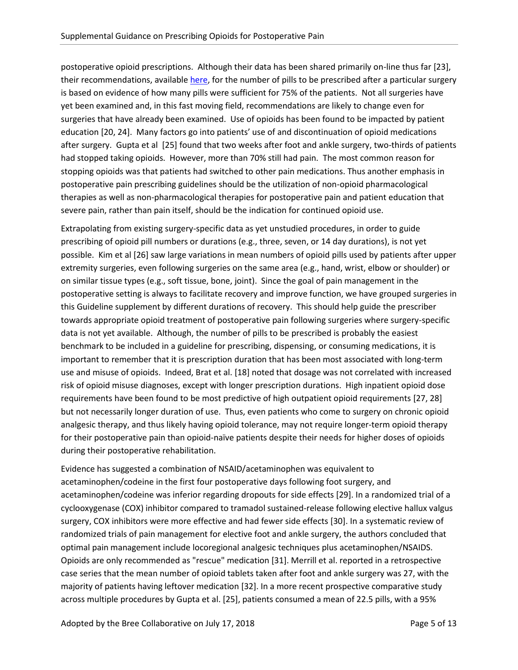postoperative opioid prescriptions. Although their data has been shared primarily on-line thus far [23], their recommendations, available [here,](https://opioidprescribing.info/) for the number of pills to be prescribed after a particular surgery is based on evidence of how many pills were sufficient for 75% of the patients. Not all surgeries have yet been examined and, in this fast moving field, recommendations are likely to change even for surgeries that have already been examined. Use of opioids has been found to be impacted by patient education [20, 24]. Many factors go into patients' use of and discontinuation of opioid medications after surgery. Gupta et al [25] found that two weeks after foot and ankle surgery, two-thirds of patients had stopped taking opioids. However, more than 70% still had pain. The most common reason for stopping opioids was that patients had switched to other pain medications. Thus another emphasis in postoperative pain prescribing guidelines should be the utilization of non-opioid pharmacological therapies as well as non-pharmacological therapies for postoperative pain and patient education that severe pain, rather than pain itself, should be the indication for continued opioid use.

Extrapolating from existing surgery-specific data as yet unstudied procedures, in order to guide prescribing of opioid pill numbers or durations (e.g., three, seven, or 14 day durations), is not yet possible. Kim et al [26] saw large variations in mean numbers of opioid pills used by patients after upper extremity surgeries, even following surgeries on the same area (e.g., hand, wrist, elbow or shoulder) or on similar tissue types (e.g., soft tissue, bone, joint). Since the goal of pain management in the postoperative setting is always to facilitate recovery and improve function, we have grouped surgeries in this Guideline supplement by different durations of recovery. This should help guide the prescriber towards appropriate opioid treatment of postoperative pain following surgeries where surgery-specific data is not yet available. Although, the number of pills to be prescribed is probably the easiest benchmark to be included in a guideline for prescribing, dispensing, or consuming medications, it is important to remember that it is prescription duration that has been most associated with long-term use and misuse of opioids. Indeed, Brat et al. [18] noted that dosage was not correlated with increased risk of opioid misuse diagnoses, except with longer prescription durations. High inpatient opioid dose requirements have been found to be most predictive of high outpatient opioid requirements [27, 28] but not necessarily longer duration of use. Thus, even patients who come to surgery on chronic opioid analgesic therapy, and thus likely having opioid tolerance, may not require longer-term opioid therapy for their postoperative pain than opioid-naïve patients despite their needs for higher doses of opioids during their postoperative rehabilitation.

Evidence has suggested a combination of NSAID/acetaminophen was equivalent to acetaminophen/codeine in the first four postoperative days following foot surgery, and acetaminophen/codeine was inferior regarding dropouts for side effects [29]. In a randomized trial of a cyclooxygenase (COX) inhibitor compared to tramadol sustained-release following elective hallux valgus surgery, COX inhibitors were more effective and had fewer side effects [30]. In a systematic review of randomized trials of pain management for elective foot and ankle surgery, the authors concluded that optimal pain management include locoregional analgesic techniques plus acetaminophen/NSAIDS. Opioids are only recommended as "rescue" medication [31]. Merrill et al. reported in a retrospective case series that the mean number of opioid tablets taken after foot and ankle surgery was 27, with the majority of patients having leftover medication [32]. In a more recent prospective comparative study across multiple procedures by Gupta et al. [25], patients consumed a mean of 22.5 pills, with a 95%

Adopted by the Bree Collaborative on July 17, 2018 Page 5 of 13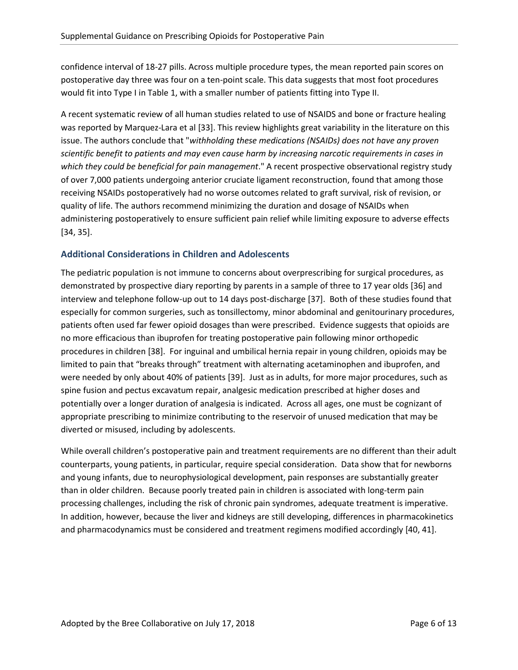confidence interval of 18-27 pills. Across multiple procedure types, the mean reported pain scores on postoperative day three was four on a ten-point scale. This data suggests that most foot procedures would fit into Type I in Table 1, with a smaller number of patients fitting into Type II.

A recent systematic review of all human studies related to use of NSAIDS and bone or fracture healing was reported by Marquez-Lara et al [33]. This review highlights great variability in the literature on this issue. The authors conclude that "*withholding these medications (NSAIDs) does not have any proven scientific benefit to patients and may even cause harm by increasing narcotic requirements in cases in which they could be beneficial for pain management*." A recent prospective observational registry study of over 7,000 patients undergoing anterior cruciate ligament reconstruction, found that among those receiving NSAIDs postoperatively had no worse outcomes related to graft survival, risk of revision, or quality of life. The authors recommend minimizing the duration and dosage of NSAIDs when administering postoperatively to ensure sufficient pain relief while limiting exposure to adverse effects [34, 35].

## **Additional Considerations in Children and Adolescents**

The pediatric population is not immune to concerns about overprescribing for surgical procedures, as demonstrated by prospective diary reporting by parents in a sample of three to 17 year olds [36] and interview and telephone follow-up out to 14 days post-discharge [37]. Both of these studies found that especially for common surgeries, such as tonsillectomy, minor abdominal and genitourinary procedures, patients often used far fewer opioid dosages than were prescribed. Evidence suggests that opioids are no more efficacious than ibuprofen for treating postoperative pain following minor orthopedic procedures in children [38]. For inguinal and umbilical hernia repair in young children, opioids may be limited to pain that "breaks through" treatment with alternating acetaminophen and ibuprofen, and were needed by only about 40% of patients [39]. Just as in adults, for more major procedures, such as spine fusion and pectus excavatum repair, analgesic medication prescribed at higher doses and potentially over a longer duration of analgesia is indicated. Across all ages, one must be cognizant of appropriate prescribing to minimize contributing to the reservoir of unused medication that may be diverted or misused, including by adolescents.

While overall children's postoperative pain and treatment requirements are no different than their adult counterparts, young patients, in particular, require special consideration. Data show that for newborns and young infants, due to neurophysiological development, pain responses are substantially greater than in older children. Because poorly treated pain in children is associated with long-term pain processing challenges, including the risk of chronic pain syndromes, adequate treatment is imperative. In addition, however, because the liver and kidneys are still developing, differences in pharmacokinetics and pharmacodynamics must be considered and treatment regimens modified accordingly [40, 41].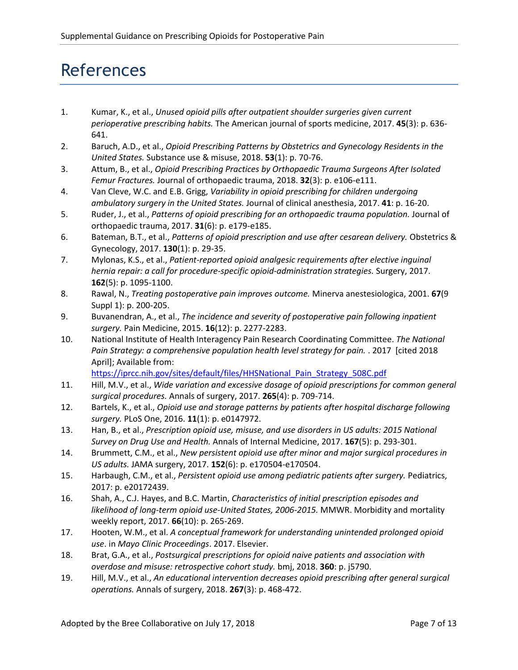# References

- 1. Kumar, K., et al., *Unused opioid pills after outpatient shoulder surgeries given current perioperative prescribing habits.* The American journal of sports medicine, 2017. **45**(3): p. 636- 641.
- 2. Baruch, A.D., et al., *Opioid Prescribing Patterns by Obstetrics and Gynecology Residents in the United States.* Substance use & misuse, 2018. **53**(1): p. 70-76.
- 3. Attum, B., et al., *Opioid Prescribing Practices by Orthopaedic Trauma Surgeons After Isolated Femur Fractures.* Journal of orthopaedic trauma, 2018. **32**(3): p. e106-e111.
- 4. Van Cleve, W.C. and E.B. Grigg, *Variability in opioid prescribing for children undergoing ambulatory surgery in the United States.* Journal of clinical anesthesia, 2017. **41**: p. 16-20.
- 5. Ruder, J., et al., *Patterns of opioid prescribing for an orthopaedic trauma population.* Journal of orthopaedic trauma, 2017. **31**(6): p. e179-e185.
- 6. Bateman, B.T., et al., *Patterns of opioid prescription and use after cesarean delivery.* Obstetrics & Gynecology, 2017. **130**(1): p. 29-35.
- 7. Mylonas, K.S., et al., *Patient-reported opioid analgesic requirements after elective inguinal hernia repair: a call for procedure-specific opioid-administration strategies.* Surgery, 2017. **162**(5): p. 1095-1100.
- 8. Rawal, N., *Treating postoperative pain improves outcome.* Minerva anestesiologica, 2001. **67**(9 Suppl 1): p. 200-205.
- 9. Buvanendran, A., et al., *The incidence and severity of postoperative pain following inpatient surgery.* Pain Medicine, 2015. **16**(12): p. 2277-2283.
- 10. National Institute of Health Interagency Pain Research Coordinating Committee. *The National Pain Strategy: a comprehensive population health level strategy for pain.* . 2017 [cited 2018 April]; Available from:

[https://iprcc.nih.gov/sites/default/files/HHSNational\\_Pain\\_Strategy\\_508C.pdf](https://iprcc.nih.gov/sites/default/files/HHSNational_Pain_Strategy_508C.pdf)

- 11. Hill, M.V., et al., *Wide variation and excessive dosage of opioid prescriptions for common general surgical procedures.* Annals of surgery, 2017. **265**(4): p. 709-714.
- 12. Bartels, K., et al., *Opioid use and storage patterns by patients after hospital discharge following surgery.* PLoS One, 2016. **11**(1): p. e0147972.
- 13. Han, B., et al., *Prescription opioid use, misuse, and use disorders in US adults: 2015 National Survey on Drug Use and Health.* Annals of Internal Medicine, 2017. **167**(5): p. 293-301.
- 14. Brummett, C.M., et al., *New persistent opioid use after minor and major surgical procedures in US adults.* JAMA surgery, 2017. **152**(6): p. e170504-e170504.
- 15. Harbaugh, C.M., et al., *Persistent opioid use among pediatric patients after surgery.* Pediatrics, 2017: p. e20172439.
- 16. Shah, A., C.J. Hayes, and B.C. Martin, *Characteristics of initial prescription episodes and likelihood of long-term opioid use-United States, 2006-2015.* MMWR. Morbidity and mortality weekly report, 2017. **66**(10): p. 265-269.
- 17. Hooten, W.M., et al. *A conceptual framework for understanding unintended prolonged opioid use*. in *Mayo Clinic Proceedings*. 2017. Elsevier.
- 18. Brat, G.A., et al., *Postsurgical prescriptions for opioid naive patients and association with overdose and misuse: retrospective cohort study.* bmj, 2018. **360**: p. j5790.
- 19. Hill, M.V., et al., *An educational intervention decreases opioid prescribing after general surgical operations.* Annals of surgery, 2018. **267**(3): p. 468-472.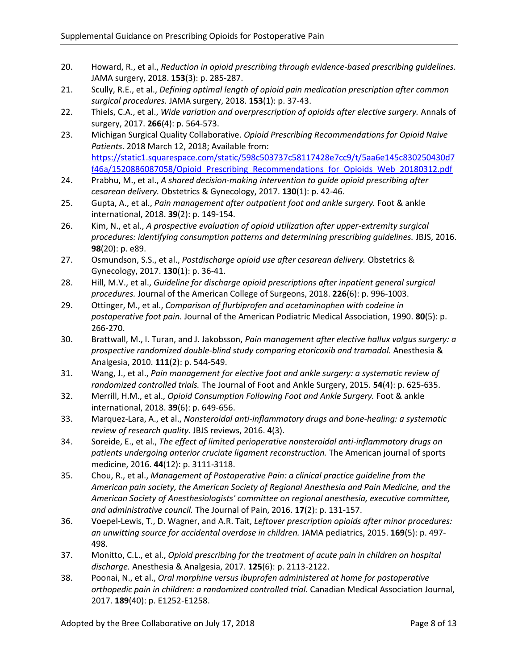- 20. Howard, R., et al., *Reduction in opioid prescribing through evidence-based prescribing guidelines.* JAMA surgery, 2018. **153**(3): p. 285-287.
- 21. Scully, R.E., et al., *Defining optimal length of opioid pain medication prescription after common surgical procedures.* JAMA surgery, 2018. **153**(1): p. 37-43.
- 22. Thiels, C.A., et al., *Wide variation and overprescription of opioids after elective surgery.* Annals of surgery, 2017. **266**(4): p. 564-573.
- 23. Michigan Surgical Quality Collaborative. *Opioid Prescribing Recommendations for Opioid Naive Patients*. 2018 March 12, 2018; Available from: [https://static1.squarespace.com/static/598c503737c58117428e7cc9/t/5aa6e145c830250430d7](https://static1.squarespace.com/static/598c503737c58117428e7cc9/t/5aa6e145c830250430d7f46a/1520886087058/Opioid_Prescribing_Recommendations_for_Opioids_Web_20180312.pdf) [f46a/1520886087058/Opioid\\_Prescribing\\_Recommendations\\_for\\_Opioids\\_Web\\_20180312.pdf](https://static1.squarespace.com/static/598c503737c58117428e7cc9/t/5aa6e145c830250430d7f46a/1520886087058/Opioid_Prescribing_Recommendations_for_Opioids_Web_20180312.pdf)
- 24. Prabhu, M., et al., *A shared decision-making intervention to guide opioid prescribing after cesarean delivery.* Obstetrics & Gynecology, 2017. **130**(1): p. 42-46.
- 25. Gupta, A., et al., *Pain management after outpatient foot and ankle surgery.* Foot & ankle international, 2018. **39**(2): p. 149-154.
- 26. Kim, N., et al., *A prospective evaluation of opioid utilization after upper-extremity surgical procedures: identifying consumption patterns and determining prescribing guidelines.* JBJS, 2016. **98**(20): p. e89.
- 27. Osmundson, S.S., et al., *Postdischarge opioid use after cesarean delivery.* Obstetrics & Gynecology, 2017. **130**(1): p. 36-41.
- 28. Hill, M.V., et al., *Guideline for discharge opioid prescriptions after inpatient general surgical procedures.* Journal of the American College of Surgeons, 2018. **226**(6): p. 996-1003.
- 29. Ottinger, M., et al., *Comparison of flurbiprofen and acetaminophen with codeine in postoperative foot pain.* Journal of the American Podiatric Medical Association, 1990. **80**(5): p. 266-270.
- 30. Brattwall, M., I. Turan, and J. Jakobsson, *Pain management after elective hallux valgus surgery: a prospective randomized double-blind study comparing etoricoxib and tramadol.* Anesthesia & Analgesia, 2010. **111**(2): p. 544-549.
- 31. Wang, J., et al., *Pain management for elective foot and ankle surgery: a systematic review of randomized controlled trials.* The Journal of Foot and Ankle Surgery, 2015. **54**(4): p. 625-635.
- 32. Merrill, H.M., et al., *Opioid Consumption Following Foot and Ankle Surgery.* Foot & ankle international, 2018. **39**(6): p. 649-656.
- 33. Marquez-Lara, A., et al., *Nonsteroidal anti-inflammatory drugs and bone-healing: a systematic review of research quality.* JBJS reviews, 2016. **4**(3).
- 34. Soreide, E., et al., *The effect of limited perioperative nonsteroidal anti-inflammatory drugs on patients undergoing anterior cruciate ligament reconstruction.* The American journal of sports medicine, 2016. **44**(12): p. 3111-3118.
- 35. Chou, R., et al., *Management of Postoperative Pain: a clinical practice guideline from the American pain society, the American Society of Regional Anesthesia and Pain Medicine, and the American Society of Anesthesiologists' committee on regional anesthesia, executive committee, and administrative council.* The Journal of Pain, 2016. **17**(2): p. 131-157.
- 36. Voepel-Lewis, T., D. Wagner, and A.R. Tait, *Leftover prescription opioids after minor procedures: an unwitting source for accidental overdose in children.* JAMA pediatrics, 2015. **169**(5): p. 497- 498.
- 37. Monitto, C.L., et al., *Opioid prescribing for the treatment of acute pain in children on hospital discharge.* Anesthesia & Analgesia, 2017. **125**(6): p. 2113-2122.
- 38. Poonai, N., et al., *Oral morphine versus ibuprofen administered at home for postoperative orthopedic pain in children: a randomized controlled trial.* Canadian Medical Association Journal, 2017. **189**(40): p. E1252-E1258.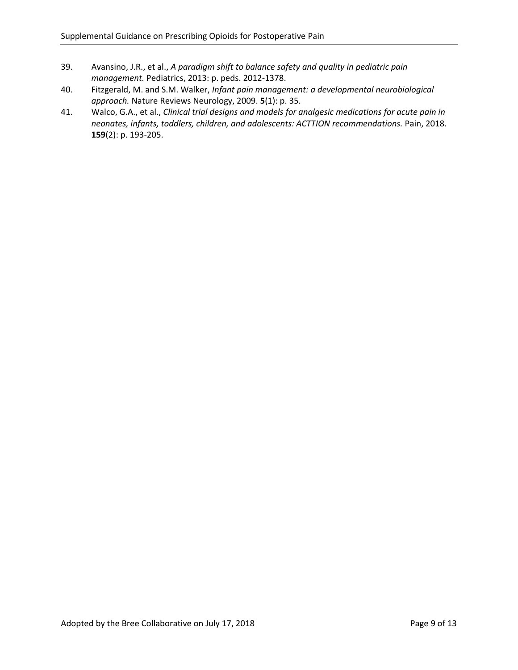- 39. Avansino, J.R., et al., *A paradigm shift to balance safety and quality in pediatric pain management.* Pediatrics, 2013: p. peds. 2012-1378.
- 40. Fitzgerald, M. and S.M. Walker, *Infant pain management: a developmental neurobiological approach.* Nature Reviews Neurology, 2009. **5**(1): p. 35.
- 41. Walco, G.A., et al., *Clinical trial designs and models for analgesic medications for acute pain in neonates, infants, toddlers, children, and adolescents: ACTTION recommendations.* Pain, 2018. **159**(2): p. 193-205.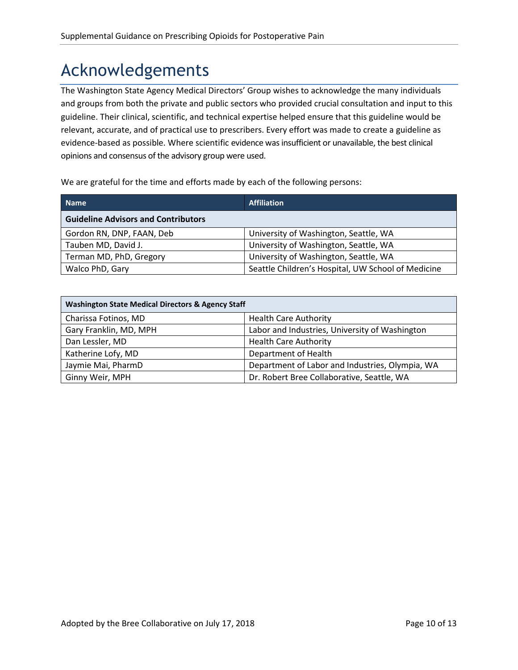# Acknowledgements

The Washington State Agency Medical Directors' Group wishes to acknowledge the many individuals and groups from both the private and public sectors who provided crucial consultation and input to this guideline. Their clinical, scientific, and technical expertise helped ensure that this guideline would be relevant, accurate, and of practical use to prescribers. Every effort was made to create a guideline as evidence-based as possible. Where scientific evidence was insufficient or unavailable, the best clinical opinions and consensus of the advisory group were used.

We are grateful for the time and efforts made by each of the following persons:

| <b>Name</b>                                | <b>Affiliation</b>                                 |
|--------------------------------------------|----------------------------------------------------|
| <b>Guideline Advisors and Contributors</b> |                                                    |
| Gordon RN, DNP, FAAN, Deb                  | University of Washington, Seattle, WA              |
| Tauben MD, David J.                        | University of Washington, Seattle, WA              |
| Terman MD, PhD, Gregory                    | University of Washington, Seattle, WA              |
| Walco PhD, Gary                            | Seattle Children's Hospital, UW School of Medicine |

| <b>Washington State Medical Directors &amp; Agency Staff</b> |                                                 |  |  |
|--------------------------------------------------------------|-------------------------------------------------|--|--|
| Charissa Fotinos, MD                                         | <b>Health Care Authority</b>                    |  |  |
| Gary Franklin, MD, MPH                                       | Labor and Industries, University of Washington  |  |  |
| Dan Lessler, MD                                              | <b>Health Care Authority</b>                    |  |  |
| Katherine Lofy, MD                                           | Department of Health                            |  |  |
| Jaymie Mai, PharmD                                           | Department of Labor and Industries, Olympia, WA |  |  |
| Ginny Weir, MPH                                              | Dr. Robert Bree Collaborative, Seattle, WA      |  |  |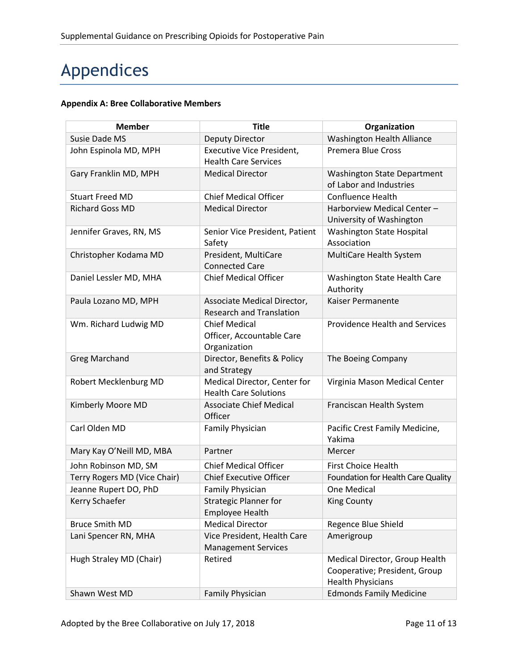# Appendices

# **Appendix A: Bree Collaborative Members**

| <b>Member</b>                | <b>Title</b>                                                      | Organization                                                                                |
|------------------------------|-------------------------------------------------------------------|---------------------------------------------------------------------------------------------|
| Susie Dade MS                | <b>Deputy Director</b>                                            | Washington Health Alliance                                                                  |
| John Espinola MD, MPH        | Executive Vice President,<br><b>Health Care Services</b>          | <b>Premera Blue Cross</b>                                                                   |
| Gary Franklin MD, MPH        | <b>Medical Director</b>                                           | <b>Washington State Department</b><br>of Labor and Industries                               |
| <b>Stuart Freed MD</b>       | <b>Chief Medical Officer</b>                                      | <b>Confluence Health</b>                                                                    |
| <b>Richard Goss MD</b>       | <b>Medical Director</b>                                           | Harborview Medical Center-<br>University of Washington                                      |
| Jennifer Graves, RN, MS      | Senior Vice President, Patient<br>Safety                          | Washington State Hospital<br>Association                                                    |
| Christopher Kodama MD        | President, MultiCare<br><b>Connected Care</b>                     | MultiCare Health System                                                                     |
| Daniel Lessler MD, MHA       | <b>Chief Medical Officer</b>                                      | Washington State Health Care<br>Authority                                                   |
| Paula Lozano MD, MPH         | Associate Medical Director,<br><b>Research and Translation</b>    | <b>Kaiser Permanente</b>                                                                    |
| Wm. Richard Ludwig MD        | <b>Chief Medical</b><br>Officer, Accountable Care<br>Organization | <b>Providence Health and Services</b>                                                       |
| <b>Greg Marchand</b>         | Director, Benefits & Policy<br>and Strategy                       | The Boeing Company                                                                          |
| Robert Mecklenburg MD        | Medical Director, Center for<br><b>Health Care Solutions</b>      | Virginia Mason Medical Center                                                               |
| Kimberly Moore MD            | <b>Associate Chief Medical</b><br>Officer                         | Franciscan Health System                                                                    |
| Carl Olden MD                | Family Physician                                                  | Pacific Crest Family Medicine,<br>Yakima                                                    |
| Mary Kay O'Neill MD, MBA     | Partner                                                           | Mercer                                                                                      |
| John Robinson MD, SM         | <b>Chief Medical Officer</b>                                      | First Choice Health                                                                         |
| Terry Rogers MD (Vice Chair) | <b>Chief Executive Officer</b>                                    | Foundation for Health Care Quality                                                          |
| Jeanne Rupert DO, PhD        | Family Physician                                                  | One Medical                                                                                 |
| Kerry Schaefer               | <b>Strategic Planner for</b><br><b>Employee Health</b>            | <b>King County</b>                                                                          |
| <b>Bruce Smith MD</b>        | <b>Medical Director</b>                                           | Regence Blue Shield                                                                         |
| Lani Spencer RN, MHA         | Vice President, Health Care<br><b>Management Services</b>         | Amerigroup                                                                                  |
| Hugh Straley MD (Chair)      | Retired                                                           | Medical Director, Group Health<br>Cooperative; President, Group<br><b>Health Physicians</b> |
| Shawn West MD                | Family Physician                                                  | <b>Edmonds Family Medicine</b>                                                              |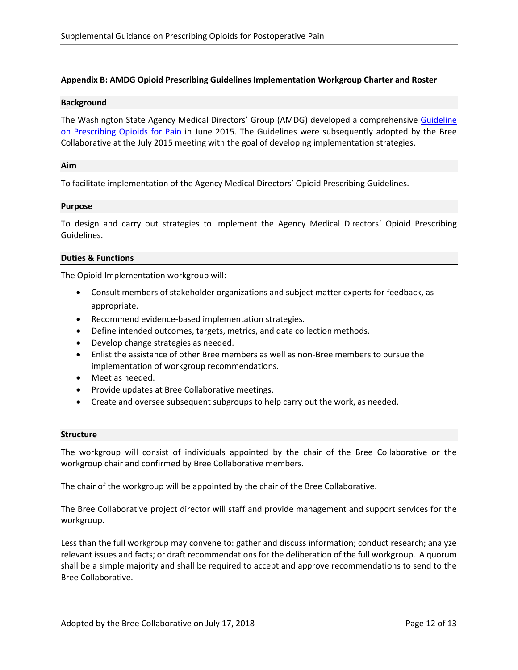### **Appendix B: AMDG Opioid Prescribing Guidelines Implementation Workgroup Charter and Roster**

### **Background**

The Washington State Agency Medical Directors' Group (AMDG) developed a comprehensive [Guideline](http://www.breecollaborative.org/wp-content/uploads/2015AMDGOpioidGuideline.pdf)  [on Prescribing Opioids for Pain](http://www.breecollaborative.org/wp-content/uploads/2015AMDGOpioidGuideline.pdf) in June 2015. The Guidelines were subsequently adopted by the Bree Collaborative at the July 2015 meeting with the goal of developing implementation strategies.

### **Aim**

To facilitate implementation of the Agency Medical Directors' Opioid Prescribing Guidelines.

### **Purpose**

To design and carry out strategies to implement the Agency Medical Directors' Opioid Prescribing Guidelines.

### **Duties & Functions**

The Opioid Implementation workgroup will:

- Consult members of stakeholder organizations and subject matter experts for feedback, as appropriate.
- Recommend evidence-based implementation strategies.
- Define intended outcomes, targets, metrics, and data collection methods.
- Develop change strategies as needed.
- Enlist the assistance of other Bree members as well as non-Bree members to pursue the implementation of workgroup recommendations.
- Meet as needed.
- Provide updates at Bree Collaborative meetings.
- Create and oversee subsequent subgroups to help carry out the work, as needed.

#### **Structure**

The workgroup will consist of individuals appointed by the chair of the Bree Collaborative or the workgroup chair and confirmed by Bree Collaborative members.

The chair of the workgroup will be appointed by the chair of the Bree Collaborative.

The Bree Collaborative project director will staff and provide management and support services for the workgroup.

Less than the full workgroup may convene to: gather and discuss information; conduct research; analyze relevant issues and facts; or draft recommendations for the deliberation of the full workgroup. A quorum shall be a simple majority and shall be required to accept and approve recommendations to send to the Bree Collaborative.